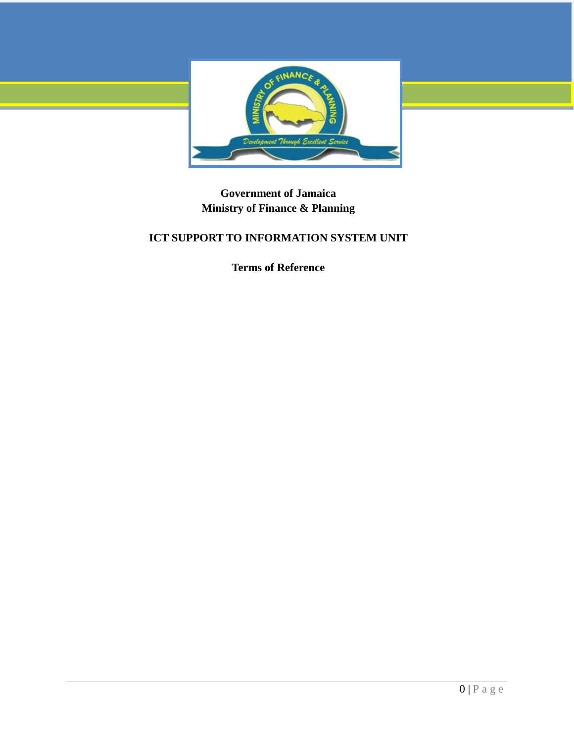

**Government of Jamaica Ministry of Finance & Planning** 

# **ICT SUPPORT TO INFORMATION SYSTEM UNIT**

**Terms of Reference**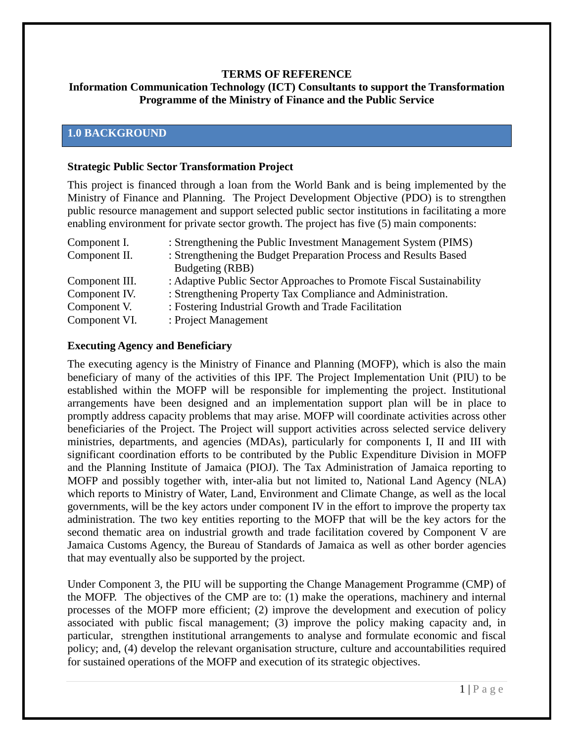### **TERMS OF REFERENCE**

## **Information Communication Technology (ICT) Consultants to support the Transformation Programme of the Ministry of Finance and the Public Service**

## **1.0 BACKGROUND**

### **Strategic Public Sector Transformation Project**

This project is financed through a loan from the World Bank and is being implemented by the Ministry of Finance and Planning. The Project Development Objective (PDO) is to strengthen public resource management and support selected public sector institutions in facilitating a more enabling environment for private sector growth. The project has five (5) main components:

| Component I.   | : Strengthening the Public Investment Management System (PIMS)       |
|----------------|----------------------------------------------------------------------|
| Component II.  | : Strengthening the Budget Preparation Process and Results Based     |
|                | Budgeting (RBB)                                                      |
| Component III. | : Adaptive Public Sector Approaches to Promote Fiscal Sustainability |
| Component IV.  | : Strengthening Property Tax Compliance and Administration.          |
| Component V.   | : Fostering Industrial Growth and Trade Facilitation                 |
| Component VI.  | : Project Management                                                 |

### **Executing Agency and Beneficiary**

The executing agency is the Ministry of Finance and Planning (MOFP), which is also the main beneficiary of many of the activities of this IPF. The Project Implementation Unit (PIU) to be established within the MOFP will be responsible for implementing the project. Institutional arrangements have been designed and an implementation support plan will be in place to promptly address capacity problems that may arise. MOFP will coordinate activities across other beneficiaries of the Project. The Project will support activities across selected service delivery ministries, departments, and agencies (MDAs), particularly for components I, II and III with significant coordination efforts to be contributed by the Public Expenditure Division in MOFP and the Planning Institute of Jamaica (PIOJ). The Tax Administration of Jamaica reporting to MOFP and possibly together with, inter-alia but not limited to, National Land Agency (NLA) which reports to Ministry of Water, Land, Environment and Climate Change, as well as the local governments, will be the key actors under component IV in the effort to improve the property tax administration. The two key entities reporting to the MOFP that will be the key actors for the second thematic area on industrial growth and trade facilitation covered by Component V are Jamaica Customs Agency, the Bureau of Standards of Jamaica as well as other border agencies that may eventually also be supported by the project.

Under Component 3, the PIU will be supporting the Change Management Programme (CMP) of the MOFP. The objectives of the CMP are to: (1) make the operations, machinery and internal processes of the MOFP more efficient; (2) improve the development and execution of policy associated with public fiscal management; (3) improve the policy making capacity and, in particular, strengthen institutional arrangements to analyse and formulate economic and fiscal policy; and, (4) develop the relevant organisation structure, culture and accountabilities required for sustained operations of the MOFP and execution of its strategic objectives.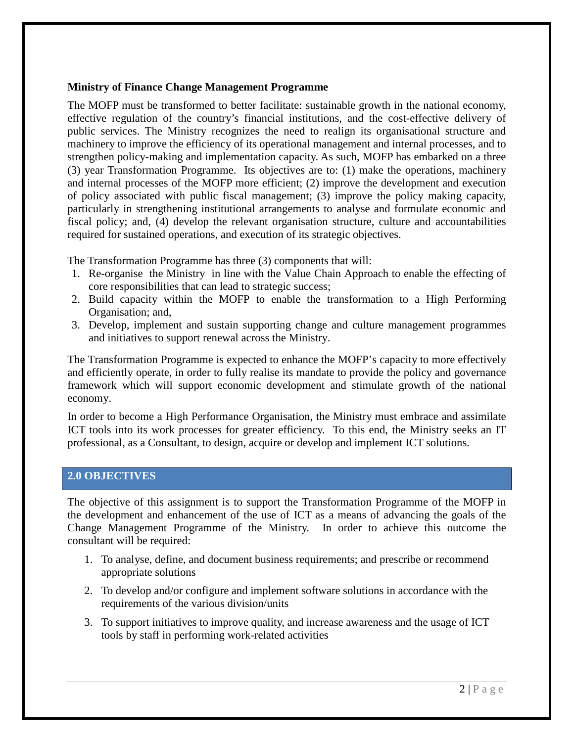### **Ministry of Finance Change Management Programme**

The MOFP must be transformed to better facilitate: sustainable growth in the national economy, effective regulation of the country's financial institutions, and the cost-effective delivery of public services. The Ministry recognizes the need to realign its organisational structure and machinery to improve the efficiency of its operational management and internal processes, and to strengthen policy-making and implementation capacity. As such, MOFP has embarked on a three (3) year Transformation Programme. Its objectives are to: (1) make the operations, machinery and internal processes of the MOFP more efficient; (2) improve the development and execution of policy associated with public fiscal management; (3) improve the policy making capacity, particularly in strengthening institutional arrangements to analyse and formulate economic and fiscal policy; and, (4) develop the relevant organisation structure, culture and accountabilities required for sustained operations, and execution of its strategic objectives.

The Transformation Programme has three (3) components that will:

- 1. Re-organise the Ministry in line with the Value Chain Approach to enable the effecting of core responsibilities that can lead to strategic success;
- 2. Build capacity within the MOFP to enable the transformation to a High Performing Organisation; and,
- 3. Develop, implement and sustain supporting change and culture management programmes and initiatives to support renewal across the Ministry.

The Transformation Programme is expected to enhance the MOFP's capacity to more effectively and efficiently operate, in order to fully realise its mandate to provide the policy and governance framework which will support economic development and stimulate growth of the national economy.

In order to become a High Performance Organisation, the Ministry must embrace and assimilate ICT tools into its work processes for greater efficiency. To this end, the Ministry seeks an IT professional, as a Consultant, to design, acquire or develop and implement ICT solutions.

## **2.0 OBJECTIVES**

The objective of this assignment is to support the Transformation Programme of the MOFP in the development and enhancement of the use of ICT as a means of advancing the goals of the Change Management Programme of the Ministry. In order to achieve this outcome the consultant will be required:

- 1. To analyse, define, and document business requirements; and prescribe or recommend appropriate solutions
- 2. To develop and/or configure and implement software solutions in accordance with the requirements of the various division/units
- 3. To support initiatives to improve quality, and increase awareness and the usage of ICT tools by staff in performing work-related activities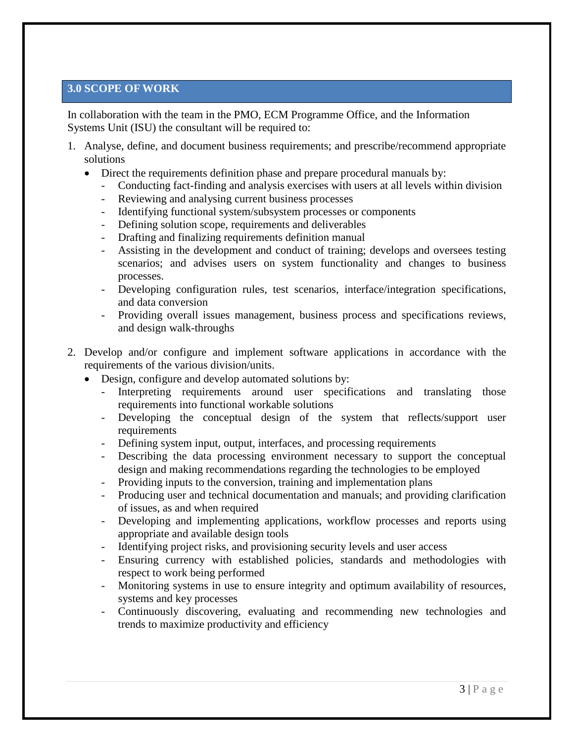## **3.0 SCOPE OF WORK**

In collaboration with the team in the PMO, ECM Programme Office, and the Information Systems Unit (ISU) the consultant will be required to:

- 1. Analyse, define, and document business requirements; and prescribe/recommend appropriate solutions
	- Direct the requirements definition phase and prepare procedural manuals by:
		- Conducting fact-finding and analysis exercises with users at all levels within division
		- Reviewing and analysing current business processes
		- Identifying functional system/subsystem processes or components
		- Defining solution scope, requirements and deliverables
		- Drafting and finalizing requirements definition manual
		- Assisting in the development and conduct of training; develops and oversees testing scenarios; and advises users on system functionality and changes to business processes.
		- Developing configuration rules, test scenarios, interface/integration specifications, and data conversion
		- Providing overall issues management, business process and specifications reviews, and design walk-throughs
- 2. Develop and/or configure and implement software applications in accordance with the requirements of the various division/units.
	- Design, configure and develop automated solutions by:
		- Interpreting requirements around user specifications and translating those requirements into functional workable solutions
		- Developing the conceptual design of the system that reflects/support user requirements
		- Defining system input, output, interfaces, and processing requirements
		- Describing the data processing environment necessary to support the conceptual design and making recommendations regarding the technologies to be employed
		- Providing inputs to the conversion, training and implementation plans
		- Producing user and technical documentation and manuals; and providing clarification of issues, as and when required
		- Developing and implementing applications, workflow processes and reports using appropriate and available design tools
		- Identifying project risks, and provisioning security levels and user access
		- Ensuring currency with established policies, standards and methodologies with respect to work being performed
		- Monitoring systems in use to ensure integrity and optimum availability of resources, systems and key processes
		- Continuously discovering, evaluating and recommending new technologies and trends to maximize productivity and efficiency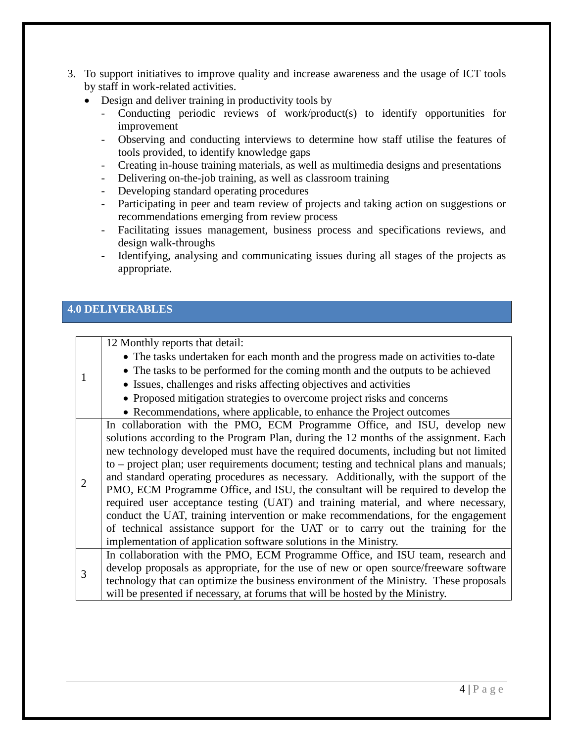- 3. To support initiatives to improve quality and increase awareness and the usage of ICT tools by staff in work-related activities.
	- Design and deliver training in productivity tools by
		- Conducting periodic reviews of work/product(s) to identify opportunities for improvement
		- Observing and conducting interviews to determine how staff utilise the features of tools provided, to identify knowledge gaps
		- Creating in-house training materials, as well as multimedia designs and presentations
		- Delivering on-the-job training, as well as classroom training
		- Developing standard operating procedures
		- Participating in peer and team review of projects and taking action on suggestions or recommendations emerging from review process
		- Facilitating issues management, business process and specifications reviews, and design walk-throughs
		- Identifying, analysing and communicating issues during all stages of the projects as appropriate.

## **4.0 DELIVERABLES**

|                | 12 Monthly reports that detail:                                                         |
|----------------|-----------------------------------------------------------------------------------------|
|                | • The tasks undertaken for each month and the progress made on activities to-date       |
|                | • The tasks to be performed for the coming month and the outputs to be achieved         |
|                | • Issues, challenges and risks affecting objectives and activities                      |
|                | • Proposed mitigation strategies to overcome project risks and concerns                 |
|                | • Recommendations, where applicable, to enhance the Project outcomes                    |
| $\overline{2}$ | In collaboration with the PMO, ECM Programme Office, and ISU, develop new               |
|                | solutions according to the Program Plan, during the 12 months of the assignment. Each   |
|                | new technology developed must have the required documents, including but not limited    |
|                | to – project plan; user requirements document; testing and technical plans and manuals; |
|                | and standard operating procedures as necessary. Additionally, with the support of the   |
|                | PMO, ECM Programme Office, and ISU, the consultant will be required to develop the      |
|                | required user acceptance testing (UAT) and training material, and where necessary,      |
|                | conduct the UAT, training intervention or make recommendations, for the engagement      |
|                | of technical assistance support for the UAT or to carry out the training for the        |
|                | implementation of application software solutions in the Ministry.                       |
| 3              | In collaboration with the PMO, ECM Programme Office, and ISU team, research and         |
|                | develop proposals as appropriate, for the use of new or open source/freeware software   |
|                | technology that can optimize the business environment of the Ministry. These proposals  |
|                | will be presented if necessary, at forums that will be hosted by the Ministry.          |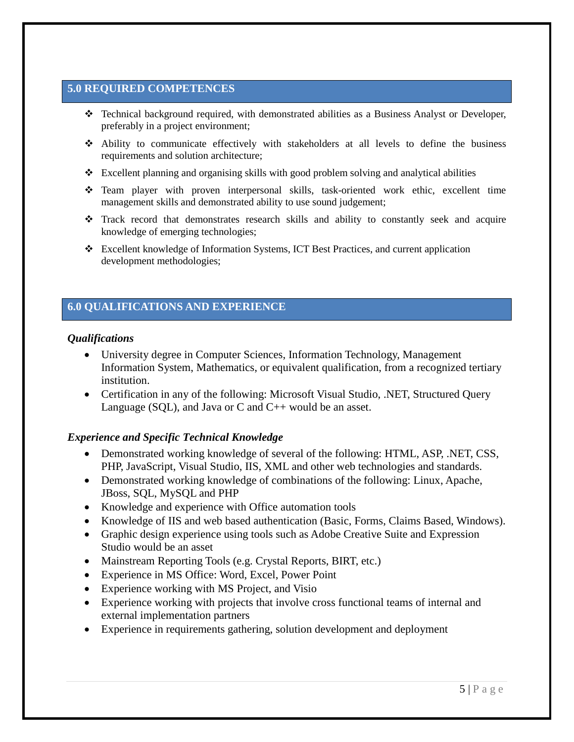## **5.0 REQUIRED COMPETENCES**

- Technical background required, with demonstrated abilities as a Business Analyst or Developer, preferably in a project environment;
- Ability to communicate effectively with stakeholders at all levels to define the business requirements and solution architecture;
- $\triangle$  Excellent planning and organising skills with good problem solving and analytical abilities
- Team player with proven interpersonal skills, task-oriented work ethic, excellent time management skills and demonstrated ability to use sound judgement;
- Track record that demonstrates research skills and ability to constantly seek and acquire knowledge of emerging technologies;
- Excellent knowledge of Information Systems, ICT Best Practices, and current application development methodologies;

## **6.0 QUALIFICATIONS AND EXPERIENCE**

### *Qualifications*

- University degree in Computer Sciences, Information Technology, Management Information System, Mathematics, or equivalent qualification, from a recognized tertiary institution.
- Certification in any of the following: Microsoft Visual Studio, .NET, Structured Query Language (SQL), and Java or  $C$  and  $C_{++}$  would be an asset.

### *Experience and Specific Technical Knowledge*

- Demonstrated working knowledge of several of the following: HTML, ASP, .NET, CSS, PHP, JavaScript, Visual Studio, IIS, XML and other web technologies and standards.
- Demonstrated working knowledge of combinations of the following: Linux, Apache, JBoss, SQL, MySQL and PHP
- Knowledge and experience with Office automation tools
- Knowledge of IIS and web based authentication (Basic, Forms, Claims Based, Windows).
- Graphic design experience using tools such as Adobe Creative Suite and Expression Studio would be an asset
- Mainstream Reporting Tools (e.g. Crystal Reports, BIRT, etc.)
- Experience in MS Office: Word, Excel, Power Point
- Experience working with MS Project, and Visio
- Experience working with projects that involve cross functional teams of internal and external implementation partners
- Experience in requirements gathering, solution development and deployment